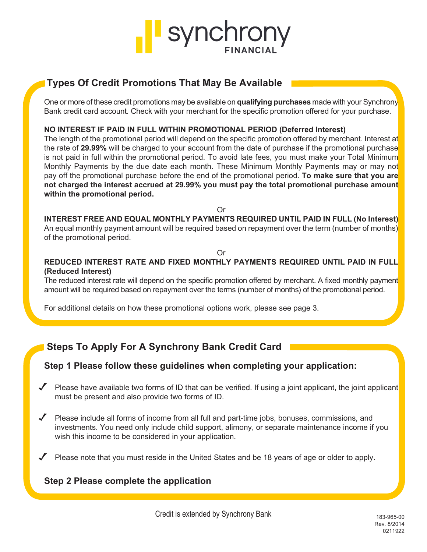

# *Types Of Credit Promotions That May Be Available*

*One or more of these credit promotions may be available on qualifying purchases made with your Synchrony Bank credit card account. Check with your merchant for the specific promotion offered for your purchase.* 

# *NO INTEREST IF PAID IN FULL WITHIN PROMOTIONAL PERIOD (Deferred Interest)*

*The length of the promotional period will depend on the specific promotion offered by merchant. Interest at the rate of 29.99% will be charged to your account from the date of purchase if the promotional purchase is not paid in full within the promotional period. To avoid late fees, you must make your Total Minimum Monthly Payments by the due date each month. These Minimum Monthly Payments may or may not pay off the promotional purchase before the end of the promotional period. To make sure that you are not charged the interest accrued at 29.99% you must pay the total promotional purchase amount within the promotional period.*

*Or*

*INTEREST FREE AND EQUAL MONTHLY PAYMENTS REQUIRED UNTIL PAID IN FULL (No Interest) An equal monthly payment amount will be required based on repayment over the term (number of months) of the promotional period.*

# *Or*

# *REDUCED INTEREST RATE AND FIXED MONTHLY PAYMENTS REQUIRED UNTIL PAID IN FULL (Reduced Interest)*

*The reduced interest rate will depend on the specific promotion offered by merchant. A fixed monthly payment amount will be required based on repayment over the terms (number of months) of the promotional period.*

*For additional details on how these promotional options work, please see page 3.*

# *Steps To Apply For A Synchrony Bank Credit Card*

# *Step 1 Please follow these guidelines when completing your application:*

- *Please have available two forms of ID that can be verified. If using a joint applicant, the joint applicant must be present and also provide two forms of ID.*
- *Please include all forms of income from all full and part-time jobs, bonuses, commissions, and investments. You need only include child support, alimony, or separate maintenance income if you wish this income to be considered in your application.*
- *Please note that you must reside in the United States and be 18 years of age or older to apply.*

# *Step 2 Please complete the application*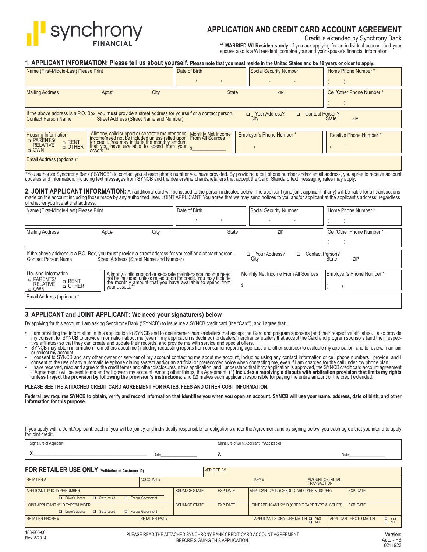

# *APPLICATION AND CREDIT CARD ACCOUNT AGREEMENT*

Credit is extended by Synchrony Bank

*\*\* MARRIED WI Residents only:* If you are applying for an individual account and your spouse also is a WI resident, combine your and your spouse's financial information.

|  |  | 1. APPLICANT INFORMATION: Please tell us about yourself. Please note that you must reside in the United States and be 18 years or older to apply. |  |  |  |  |
|--|--|---------------------------------------------------------------------------------------------------------------------------------------------------|--|--|--|--|
|--|--|---------------------------------------------------------------------------------------------------------------------------------------------------|--|--|--|--|

| Name (First-Middle-Last) Please Print                                                                                                                                                                                                                                                                                                                                                                           |                                                                                                                                                                                                                       | Date of Birth                          |                                | <b>Social Security Number</b>    | Home Phone Number *           |
|-----------------------------------------------------------------------------------------------------------------------------------------------------------------------------------------------------------------------------------------------------------------------------------------------------------------------------------------------------------------------------------------------------------------|-----------------------------------------------------------------------------------------------------------------------------------------------------------------------------------------------------------------------|----------------------------------------|--------------------------------|----------------------------------|-------------------------------|
|                                                                                                                                                                                                                                                                                                                                                                                                                 |                                                                                                                                                                                                                       |                                        |                                |                                  |                               |
| <b>Mailing Address</b><br>Apt.#                                                                                                                                                                                                                                                                                                                                                                                 | City                                                                                                                                                                                                                  |                                        | <b>State</b>                   | <b>ZIP</b>                       | Cell/Other Phone Number*      |
|                                                                                                                                                                                                                                                                                                                                                                                                                 |                                                                                                                                                                                                                       |                                        |                                |                                  |                               |
| If the above address is a P.O. Box, you must provide a street address for yourself or a contact person.<br><b>Contact Person Name</b>                                                                                                                                                                                                                                                                           | <b>Street Address (Street Name and Number)</b>                                                                                                                                                                        |                                        | <b>D</b> Your Address?<br>City | <b>Contact Person?</b><br>$\Box$ | ZIP<br><b>State</b>           |
| <b>Housing Information</b><br>D PARENTS/                                                                                                                                                                                                                                                                                                                                                                        |                                                                                                                                                                                                                       | Monthly Net Income<br>From All Sources | Employer's Phone Number*       |                                  | <b>Relative Phone Number*</b> |
| <b>a</b> RENT<br><b>RELATIVE</b><br><b>D</b> OTHER<br>$\Box$ OWN                                                                                                                                                                                                                                                                                                                                                | Alimony, child support or separate maintenance M<br>income need not be included unless relied upon Fri<br>for credit. You may include the monthly amount<br>that you, have available to spend from your $\frac{1}{5}$ |                                        |                                |                                  |                               |
| Email Address (optional)*                                                                                                                                                                                                                                                                                                                                                                                       |                                                                                                                                                                                                                       |                                        |                                |                                  |                               |
| *You authorize Synchrony Bank ("SYNCB") to contact you at each phone number you have provided. By providing a cell phone number and/or email address, you agree to receive account<br>updates and information, including text mes                                                                                                                                                                               |                                                                                                                                                                                                                       |                                        |                                |                                  |                               |
| 2. JOINT APPLICANT INFORMATION: An additional card will be issued to the person indicated below. The applicant (and joint applicant, if any) will be liable for all transactions<br>made on the account including those made by any authorized user. JOINT APPLICANT: You agree that we may send notices to you and/or applicant at the applicant's address, regardless<br>of whether you live at that address. |                                                                                                                                                                                                                       |                                        |                                |                                  |                               |
| Name (First-Middle-Last) Please Print                                                                                                                                                                                                                                                                                                                                                                           |                                                                                                                                                                                                                       | Date of Birth                          |                                | Social Security Number           | Home Phone Number*            |
|                                                                                                                                                                                                                                                                                                                                                                                                                 |                                                                                                                                                                                                                       |                                        |                                |                                  |                               |
| Mailing Address<br>Apt#                                                                                                                                                                                                                                                                                                                                                                                         | City                                                                                                                                                                                                                  |                                        | <b>State</b>                   | ZIP                              | Cell/Other Phone Number*      |
|                                                                                                                                                                                                                                                                                                                                                                                                                 |                                                                                                                                                                                                                       |                                        |                                |                                  |                               |
| If the above address is a P.O. Box, you must provide a street address for yourself or a contact person.<br>The Your Address?<br>Contact Person?<br>o.<br>ZIP<br>City<br>Street Address (Street Name and Number)<br>State<br><b>Contact Person Name</b>                                                                                                                                                          |                                                                                                                                                                                                                       |                                        |                                |                                  |                               |

| Housing Information<br>D PARENTS/<br>a RENT<br>a OTHER<br><b>RELATIVE</b><br>$\Box$ OWN | Alimony, child support or separate maintenance income need<br>not be included unless relied upon for credit. You may include<br>I the monthly amount that you have available to spend from | Monthly Net Income From All Sources | Employer's Phone Number * |
|-----------------------------------------------------------------------------------------|--------------------------------------------------------------------------------------------------------------------------------------------------------------------------------------------|-------------------------------------|---------------------------|
| Email Address (optional) *                                                              |                                                                                                                                                                                            |                                     |                           |

## *3. APPLICANT and JOINT APPLICANT: We need your signature(s) below*

By applying for this account, I am asking Synchrony Bank ("SYNCB") to issue me a SYNCB credit card (the "Card"), and I agree that:

- I am providing the information in this application to SYNCB and to dealers/merchants/retailers that accept the Card and program sponsors (and their respective affiliates). I also provide<br>my consent for SYNCB to provide i
- 
- 
- consent to the use of any automatic telephone dialing system and/or an artificial or prerecorded voice when contacting me, even if I am charged for the call under my phone plan.<br>I have received, read and agree to the credi ("Agreement") will be sent to me and will govern my account. Among other things, the Agreement: (**1) includes a resolving a dispute with arbitration provision that limits my rights**<br>**unless I reject the provision by follow**

#### *PLEASE SEE THE ATTACHED CREDIT CARD AGREEMENT FOR RATES, FEES AND OTHER COST INFORMATION.*

Federal law requires SYNCB to obtain, verify and record information that identifies you when you open an account. SYNCB will use your name, address, date of birth, and other information for this purpose.

If you apply with a Joint Applicant, each of you will be jointly and individually responsible for obligations under the Agreement and by signing below, you each agree that you intend to apply for joint credit.

Signature of Applicant (If Applicable) Signature of Joint Applicant (If Applicable)

*X*\_\_\_\_\_\_\_\_\_\_\_\_\_\_\_\_\_\_\_\_\_\_\_\_\_\_\_\_\_\_\_\_\_\_\_\_\_\_\_\_\_\_\_\_\_\_\_\_\_\_\_\_\_\_\_\_\_\_\_\_ Date\_\_\_\_\_\_\_\_\_\_\_\_\_\_\_\_\_\_\_ *X*\_\_\_\_\_\_\_\_\_\_\_\_\_\_\_\_\_\_\_\_\_\_\_\_\_\_\_\_\_\_\_\_\_\_\_\_\_\_\_\_\_\_\_\_\_\_\_\_\_\_\_\_\_\_\_\_\_\_\_\_ Date\_\_\_\_\_\_\_\_\_\_\_\_\_\_\_\_\_\_\_

## **FOR RETAILER USE ONLY** *(Validation of Customer ID)* **EXPRESSION** VERIFIED BY:

| <b>RETAILER#</b>                          | ACCOUNT#                   |                       |           | KEY#                                                           | AMOUNT OF INITIAL |                              |                           |
|-------------------------------------------|----------------------------|-----------------------|-----------|----------------------------------------------------------------|-------------------|------------------------------|---------------------------|
| APPLICANT 1st ID TYPE/NUMBER              |                            | <b>ISSUANCE STATE</b> | EXP. DATE | APPLICANT 2 <sup>nd</sup> ID (CREDIT CARD TYPE & ISSUER)       |                   | <b>EXP. DATE</b>             |                           |
| Driver's License<br><b>D</b> State Issued | <b>Exercise</b> Government |                       |           |                                                                |                   |                              |                           |
| JOINT APPLICANT 1st ID TYPE/NUMBER        |                            | <b>ISSUANCE STATE</b> | EXP. DATE | JOINT APPLICANT 2 <sup>nd</sup> ID (CREDIT CARD TYPE & ISSUER) |                   | EXP. DATE                    |                           |
| Driver's License<br>State Issued          | <b>Exercise</b> Government |                       |           |                                                                |                   |                              |                           |
| <b>RETAILER PHONE #</b>                   | <b>RETAILER FAX #</b>      |                       |           | APPLICANT SIGNATURE MATCH OF YES                               | $\Box$ NO         | <b>APPLICANT PHOTO MATCH</b> | <b>Q</b> YES<br>$\Box$ NO |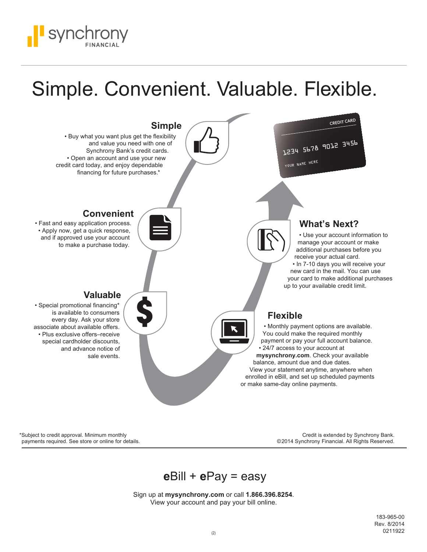

# Simple. Convenient. Valuable. Flexible.



\*Subject to credit approval. Minimum monthly payments required. See store or online for details.

Credit is extended by Synchrony Bank. ©2014 Synchrony Financial. All Rights Reserved.

# *e*Bill + *e*Pay = easy

Sign up at *mysynchrony.com* or call *1.866.396.8254*. View your account and pay your bill online.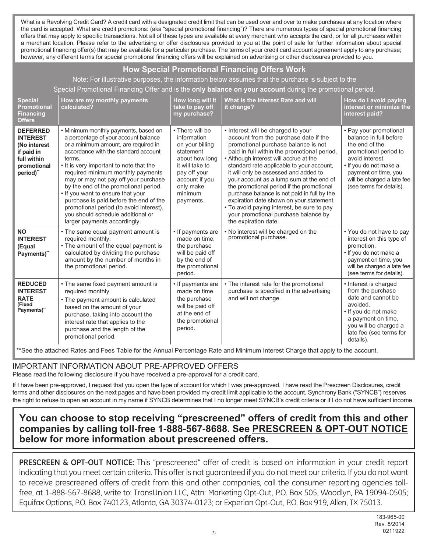What is a Revolving Credit Card? A credit card with a designated credit limit that can be used over and over to make purchases at any location where *the card is accepted. What are credit promotions: (aka "special promotional financing")? There are numerous types of special promotional financing offers that may apply to specific transactions. Not all of these types are available at every merchant who accepts the card, or for all purchases within a merchant location. Please refer to the advertising or offer disclosures provided to you at the point of sale for further information about special promotional financing offer(s) that may be available for a particular purchase. The terms of your credit card account agreement apply to any purchase; however, any different terms for special promotional financing offers will be explained on advertising or other disclosures provided to you.*

# *How Special Promotional Financing Offers Work*

*Note: For illustrative purposes, the information below assumes that the purchase is subject to the* 

*Special Promotional Financing Offer and is the only balance on your account during the promotional period.*

| <b>Special</b><br><b>Promotional</b><br><b>Financing</b><br><b>Offers</b>                                  | How are my monthly payments<br>calculated?                                                                                                                                                                                                                                                                                                                                                                                                                                                                                             | How long will it<br>take to pay off<br>my purchase?                                                                                                                        | What is the Interest Rate and will<br>it change?                                                                                                                                                                                                                                                                                                                                                                                                                                                                                                                                                    | How do I avoid paying<br>interest or minimize the<br>interest paid?                                                                                                                                                        |
|------------------------------------------------------------------------------------------------------------|----------------------------------------------------------------------------------------------------------------------------------------------------------------------------------------------------------------------------------------------------------------------------------------------------------------------------------------------------------------------------------------------------------------------------------------------------------------------------------------------------------------------------------------|----------------------------------------------------------------------------------------------------------------------------------------------------------------------------|-----------------------------------------------------------------------------------------------------------------------------------------------------------------------------------------------------------------------------------------------------------------------------------------------------------------------------------------------------------------------------------------------------------------------------------------------------------------------------------------------------------------------------------------------------------------------------------------------------|----------------------------------------------------------------------------------------------------------------------------------------------------------------------------------------------------------------------------|
| <b>DEFERRED</b><br><b>INTEREST</b><br>(No interest<br>if paid in<br>full within<br>promotional<br>period)" | • Minimum monthly payments, based on<br>a percentage of your account balance<br>or a minimum amount, are required in<br>accordance with the standard account<br>terms.<br>• It is very important to note that the<br>required minimum monthly payments<br>may or may not pay off your purchase<br>by the end of the promotional period.<br>. If you want to ensure that your<br>purchase is paid before the end of the<br>promotional period (to avoid interest),<br>you should schedule additional or<br>larger payments accordingly. | • There will be<br>information<br>on your billing<br>statement<br>about how long<br>it will take to<br>pay off your<br>account if you<br>only make<br>minimum<br>payments. | • Interest will be charged to your<br>account from the purchase date if the<br>promotional purchase balance is not<br>paid in full within the promotional period.<br>• Although interest will accrue at the<br>standard rate applicable to your account,<br>it will only be assessed and added to<br>your account as a lump sum at the end of<br>the promotional period if the promotional<br>purchase balance is not paid in full by the<br>expiration date shown on your statement.<br>• To avoid paying interest, be sure to pay<br>your promotional purchase balance by<br>the expiration date. | • Pay your promotional<br>balance in full before<br>the end of the<br>promotional period to<br>avoid interest.<br>• If you do not make a<br>payment on time, you<br>will be charged a late fee<br>(see terms for details). |
| <b>NO</b><br><b>INTEREST</b><br>(Equal<br>Payments)"                                                       | • The same equal payment amount is<br>required monthly.<br>• The amount of the equal payment is<br>calculated by dividing the purchase<br>amount by the number of months in<br>the promotional period.                                                                                                                                                                                                                                                                                                                                 | • If payments are<br>made on time.<br>the purchase<br>will be paid off<br>by the end of<br>the promotional<br>period.                                                      | . No interest will be charged on the<br>promotional purchase.                                                                                                                                                                                                                                                                                                                                                                                                                                                                                                                                       | • You do not have to pay<br>interest on this type of<br>promotion.<br>• If you do not make a<br>payment on time, you<br>will be charged a late fee<br>(see terms for details).                                             |
| <b>REDUCED</b><br><b>INTEREST</b><br><b>RATE</b><br>(Fixed<br>Payments)"                                   | • The same fixed payment amount is<br>required monthly.<br>• The payment amount is calculated<br>based on the amount of your<br>purchase, taking into account the<br>interest rate that applies to the<br>purchase and the length of the<br>promotional period.                                                                                                                                                                                                                                                                        | • If payments are<br>made on time.<br>the purchase<br>will be paid off<br>at the end of<br>the promotional<br>period.                                                      | • The interest rate for the promotional<br>purchase is specified in the advertising<br>and will not change.                                                                                                                                                                                                                                                                                                                                                                                                                                                                                         | • Interest is charged<br>from the purchase<br>date and cannot be<br>avoided.<br>• If you do not make<br>a payment on time,<br>you will be charged a<br>late fee (see terms for<br>details).                                |

 *\*\*See the attached Rates and Fees Table for the Annual Percentage Rate and Minimum Interest Charge that apply to the account.*

# *IMPORTANT INFORMATION ABOUT PRE-APPROVED OFFERS*

*Please read the following disclosure if you have received a pre-approval for a credit card.*

If I have been pre-approved, I request that you open the type of account for which I was pre-approved. I have read the Prescreen Disclosures, credit *terms and other disclosures on the next pages and have been provided my credit limit applicable to the account. Synchrony Bank ("SYNCB") reserves the right to refuse to open an account in my name if SYNCB determines that I no longer meet SYNCB's credit criteria or if I do not have sufficient income.*

# *You can choose to stop receiving "prescreened" offers of credit from this and other companies by calling toll-free 1-888-567-8688. See PRESCREEN & OPT-OUT NOTICE below for more information about prescreened offers.*

**PRESCREEN & OPT-OUT NOTICE:** This "prescreened" offer of credit is based on information in your credit report indicating that you meet certain criteria. This offer is not guaranteed if you do not meet our criteria. If you do not want to receive prescreened offers of credit from this and other companies, call the consumer reporting agencies tollfree, at 1-888-567-8688, write to: TransUnion LLC, Attn: Marketing Opt-Out, P.O. Box 505, Woodlyn, PA 19094-0505; Equifax Options, P.O. Box 740123, Atlanta, GA 30374-0123; or Experian Opt-Out, P.O. Box 919, Allen, TX 75013.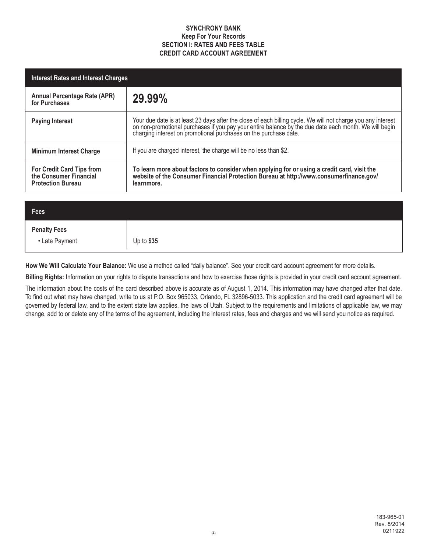# *SYNCHRONY BANK Keep For Your Records SECTION I: RATES AND FEES TABLE CREDIT CARD ACCOUNT AGREEMENT*

| <b>Interest Rates and Interest Charges</b>                                             |                                                                                                                                                                                                                                |  |  |
|----------------------------------------------------------------------------------------|--------------------------------------------------------------------------------------------------------------------------------------------------------------------------------------------------------------------------------|--|--|
| <b>Annual Percentage Rate (APR)</b><br>for Purchases                                   | 29.99%                                                                                                                                                                                                                         |  |  |
| <b>Paying Interest</b>                                                                 | Your due date is at least 23 days after the close of each billing cycle. We will not charge you any interest on non-promotional purchases if you pay your entire balance by the due date each month. We will begin charging in |  |  |
| <b>Minimum Interest Charge</b>                                                         | If you are charged interest, the charge will be no less than \$2.                                                                                                                                                              |  |  |
| <b>For Credit Card Tips from</b><br>the Consumer Financial<br><b>Protection Bureau</b> | To learn more about factors to consider when applying for or using a credit card, visit the<br>website of the Consumer Financial Protection Bureau at http://www.consumerfinance.gov/<br>learnmore.                            |  |  |

| $ $ Fees            |            |
|---------------------|------------|
| <b>Penalty Fees</b> |            |
| • Late Payment      | Up to \$35 |

*How We Will Calculate Your Balance:* We use a method called "daily balance". See your credit card account agreement for more details.

*Billing Rights:* Information on your rights to dispute transactions and how to exercise those rights is provided in your credit card account agreement.

The information about the costs of the card described above is accurate as of August 1, 2014. This information may have changed after that date. To find out what may have changed, write to us at P.O. Box 965033, Orlando, FL 32896-5033. This application and the credit card agreement will be governed by federal law, and to the extent state law applies, the laws of Utah. Subject to the requirements and limitations of applicable law, we may change, add to or delete any of the terms of the agreement, including the interest rates, fees and charges and we will send you notice as required.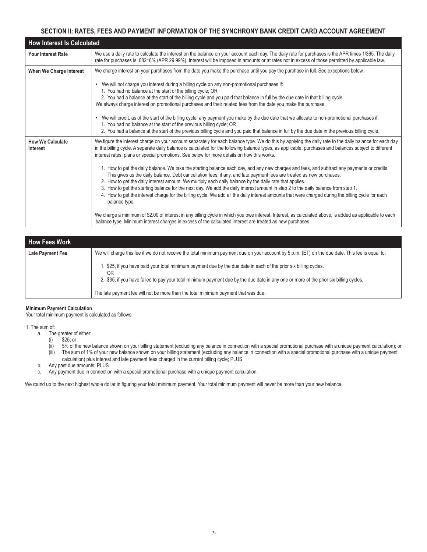# *SECTION II: RATES, FEES AND PAYMENT INFORMATION OF THE SYNCHRONY BANK CREDIT CARD ACCOUNT AGREEMENT*

|                                            | <b>How Interest Is Calculated</b>                                                                                                                                                                                                                                                                                                                                                                                                                                                                                                                                                                                                                                                          |  |  |  |  |
|--------------------------------------------|--------------------------------------------------------------------------------------------------------------------------------------------------------------------------------------------------------------------------------------------------------------------------------------------------------------------------------------------------------------------------------------------------------------------------------------------------------------------------------------------------------------------------------------------------------------------------------------------------------------------------------------------------------------------------------------------|--|--|--|--|
| <b>Your Interest Rate</b>                  | We use a daily rate to calculate the interest on the balance on your account each day. The daily rate for purchases is the APR times 1/365. The daily<br>rate for purchases is .08216% (APR 29.99%). Interest will be imposed in amounts or at rates not in excess of those permitted by applicable law.                                                                                                                                                                                                                                                                                                                                                                                   |  |  |  |  |
| When We Charge Interest                    | We charge interest on your purchases from the date you make the purchase until you pay the purchase in full. See exceptions below.<br>We will not charge you interest during a billing cycle on any non-promotional purchases if:                                                                                                                                                                                                                                                                                                                                                                                                                                                          |  |  |  |  |
|                                            | 1. You had no balance at the start of the billing cycle; OR<br>2. You had a balance at the start of the billing cycle and you paid that balance in full by the due date in that billing cycle.<br>We always charge interest on promotional purchases and their related fees from the date you make the purchase.                                                                                                                                                                                                                                                                                                                                                                           |  |  |  |  |
|                                            | We will credit, as of the start of the billing cycle, any payment you make by the due date that we allocate to non-promotional purchases if:<br>1. You had no balance at the start of the previous billing cycle; OR<br>2. You had a balance at the start of the previous billing cycle and you paid that balance in full by the due date in the previous billing cycle.                                                                                                                                                                                                                                                                                                                   |  |  |  |  |
| <b>How We Calculate</b><br><b>Interest</b> | We figure the interest charge on your account separately for each balance type. We do this by applying the daily rate to the daily balance for each day<br>in the billing cycle. A separate daily balance is calculated for the following balance types, as applicable: purchases and balances subject to different<br>interest rates, plans or special promotions. See below for more details on how this works.                                                                                                                                                                                                                                                                          |  |  |  |  |
|                                            | 1. How to get the daily balance. We take the starting balance each day, add any new charges and fees, and subtract any payments or credits.<br>This gives us the daily balance. Debt cancellation fees, if any, and late payment fees are treated as new purchases.<br>2. How to get the daily interest amount. We multiply each daily balance by the daily rate that applies.<br>3. How to get the starting balance for the next day. We add the daily interest amount in step 2 to the daily balance from step 1.<br>4. How to get the interest charge for the billing cycle. We add all the daily interest amounts that were charged during the billing cycle for each<br>balance type. |  |  |  |  |
|                                            | We charge a minimum of \$2.00 of interest in any billing cycle in which you owe interest. Interest, as calculated above, is added as applicable to each<br>balance type. Minimum interest charges in excess of the calculated interest are treated as new purchases.                                                                                                                                                                                                                                                                                                                                                                                                                       |  |  |  |  |

| <b>How Fees Work</b>                                                                                                                                                 |                                                                                                                                                                                                                                                                 |  |  |  |
|----------------------------------------------------------------------------------------------------------------------------------------------------------------------|-----------------------------------------------------------------------------------------------------------------------------------------------------------------------------------------------------------------------------------------------------------------|--|--|--|
| We will charge this fee if we do not receive the total minimum payment due on your account by 5 p.m. (ET) on the due date. This fee is equal to:<br>Late Payment Fee |                                                                                                                                                                                                                                                                 |  |  |  |
|                                                                                                                                                                      | . \$25, if you have paid your total minimum payment due by the due date in each of the prior six billing cycles.<br>0R<br>2. \$35, if you have failed to pay your total minimum payment due by the due date in any one or more of the prior six billing cycles. |  |  |  |
|                                                                                                                                                                      | The late payment fee will not be more than the total minimum payment that was due.                                                                                                                                                                              |  |  |  |

## *Minimum Payment Calculation*

Your total minimum payment is calculated as follows.

## 1. The sum of:

- a. The greater of either:
	- (i) \$25; or
- (ii) 5% of the new balance shown on your billing statement (excluding any balance in connection with a special promotional purchase with a unique payment calculation); or
- (iii) The sum of 1% of your new balance shown on your billing statement (excluding any balance in connection with a special promotional purchase with a unique payment calculation) plus interest and late payment fees charged in the current billing cycle; PLUS
	- b. Any past due amounts; PLUS
	- c. Any payment due in connection with a special promotional purchase with a unique payment calculation.

We round up to the next highest whole dollar in figuring your total minimum payment. Your total minimum payment will never be more than your new balance.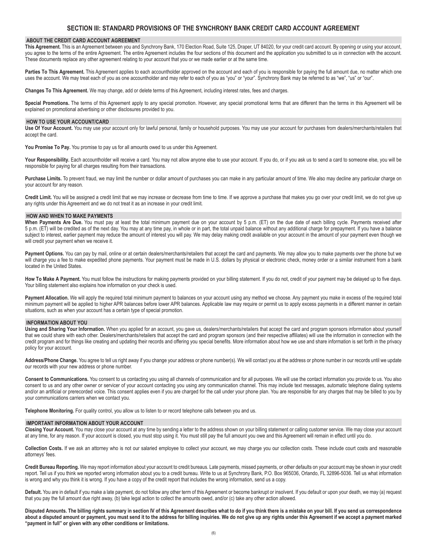## *SECTION III: STANDARD PROVISIONS OF THE SYNCHRONY BANK CREDIT CARD ACCOUNT AGREEMENT*

## *ABOUT THE CREDIT CARD ACCOUNT AGREEMENT*

*This Agreement.* This is an Agreement between you and Synchrony Bank, 170 Election Road, Suite 125, Draper, UT 84020, for your credit card account. By opening or using your account, you agree to the terms of the entire Agreement. The entire Agreement includes the four sections of this document and the application you submitted to us in connection with the account. These documents replace any other agreement relating to your account that you or we made earlier or at the same time.

Parties To This Agreement. This Agreement applies to each accountholder approved on the account and each of you is responsible for paying the full amount due, no matter which one uses the account. We may treat each of you as one accountholder and may refer to each of you as "you" or "your". Synchrony Bank may be referred to as "we", "us" or "our".

*Changes To This Agreement.* We may change, add or delete terms of this Agreement, including interest rates, fees and charges.

Special Promotions. The terms of this Agreement apply to any special promotion. However, any special promotional terms that are different than the terms in this Agreement will be explained on promotional advertising or other disclosures provided to you.

### *HOW TO USE YOUR ACCOUNT/CARD*

*Use Of Your Account.* You may use your account only for lawful personal, family or household purposes. You may use your account for purchases from dealers/merchants/retailers that accept the card.

You Promise To Pay. You promise to pay us for all amounts owed to us under this Agreement.

Your Responsibility. Each accountholder will receive a card. You may not allow anyone else to use your account. If you do, or if you ask us to send a card to someone else, you will be responsible for paying for all charges resulting from their transactions.

Purchase Limits. To prevent fraud, we may limit the number or dollar amount of purchases you can make in any particular amount of time. We also may decline any particular charge on your account for any reason.

Credit Limit. You will be assigned a credit limit that we may increase or decrease from time to time. If we approve a purchase that makes you go over your credit limit, we do not give up any rights under this Agreement and we do not treat it as an increase in your credit limit.

## *HOW AND WHEN TO MAKE PAYMENTS*

When Payments Are Due. You must pay at least the total minimum payment due on your account by 5 p.m. (ET) on the due date of each billing cycle. Payments received after 5 p.m. (ET) will be credited as of the next day. You may at any time pay, in whole or in part, the total unpaid balance without any additional charge for prepayment. If you have a balance subject to interest, earlier payment may reduce the amount of interest you will pay. We may delay making credit available on your account in the amount of your payment even though we will credit your payment when we receive it.

Payment Options. You can pay by mail, online or at certain dealers/merchants/retailers that accept the card and payments. We may allow you to make payments over the phone but we will charge you a fee to make expedited phone payments. Your payment must be made in U.S. dollars by physical or electronic check, money order or a similar instrument from a bank located in the United States.

How To Make A Payment. You must follow the instructions for making payments provided on your billing statement. If you do not, credit of your payment may be delayed up to five days. Your billing statement also explains how information on your check is used.

Payment Allocation. We will apply the required total minimum payment to balances on your account using any method we choose. Any payment you make in excess of the required total minimum payment will be applied to higher APR balances before lower APR balances. Applicable law may require or permit us to apply excess payments in a different manner in certain situations, such as when your account has a certain type of special promotion.

#### *INFORMATION ABOUT YOU*

*Using and Sharing Your Information.* When you applied for an account, you gave us, dealers/merchants/retailers that accept the card and program sponsors information about yourself that we could share with each other. Dealers/merchants/retailers that accept the card and program sponsors (and their respective affiliates) will use the information in connection with the credit program and for things like creating and updating their records and offering you special benefits. More information about how we use and share information is set forth in the privacy policy for your account.

*Address/Phone Change.* You agree to tell us right away if you change your address or phone number(s). We will contact you at the address or phone number in our records until we update our records with your new address or phone number.

*Consent to Communications.* You consent to us contacting you using all channels of communication and for all purposes. We will use the contact information you provide to us. You also consent to us and any other owner or servicer of your account contacting you using any communication channel. This may include text messages, automatic telephone dialing systems and/or an artificial or prerecorded voice. This consent applies even if you are charged for the call under your phone plan. You are responsible for any charges that may be billed to you by your communications carriers when we contact you.

*Telephone Monitoring.* For quality control, you allow us to listen to or record telephone calls between you and us.

#### *IMPORTANT INFORMATION ABOUT YOUR ACCOUNT*

*Closing Your Account.* You may close your account at any time by sending a letter to the address shown on your billing statement or calling customer service. We may close your account at any time, for any reason. If your account is closed, you must stop using it. You must still pay the full amount you owe and this Agreement will remain in effect until you do.

*Collection Costs.* If we ask an attorney who is not our salaried employee to collect your account, we may charge you our collection costs. These include court costs and reasonable attorneys' fees.

*Credit Bureau Reporting.* We may report information about your account to credit bureaus. Late payments, missed payments, or other defaults on your account may be shown in your credit report. Tell us if you think we reported wrong information about you to a credit bureau. Write to us at Synchrony Bank, P.O. Box 965036, Orlando, FL 32896-5036. Tell us what information is wrong and why you think it is wrong. If you have a copy of the credit report that includes the wrong information, send us a copy.

Default. You are in default if you make a late payment, do not follow any other term of this Agreement or become bankrupt or insolvent. If you default or upon your death, we may (a) request that you pay the full amount due right away, (b) take legal action to collect the amounts owed, and/or (c) take any other action allowed.

Disputed Amounts. The billing rights summary in section IV of this Agreement describes what to do if you think there is a mistake on your bill. If you send us correspondence about a disputed amount or payment, you must send it to the address for billing inquiries. We do not give up any rights under this Agreement if we accept a payment marked *"payment in full" or given with any other conditions or limitations.*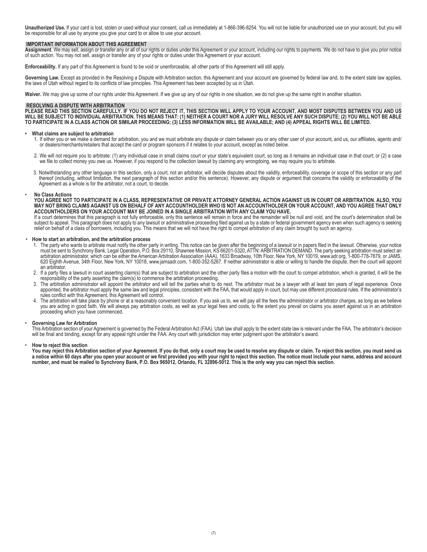*Unauthorized Use.* If your card is lost, stolen or used without your consent, call us immediately at 1-866-396-8254. You will not be liable for unauthorized use on your account, but you will be responsible for all use by anyone you give your card to or allow to use your account.

## *IMPORTANT INFORMATION ABOUT THIS AGREEMENT*

*Assignment*. We may sell, assign or transfer any or all of our rights or duties under this Agreement or your account, including our rights to payments. We do not have to give you prior notice of such action. You may not sell, assign or transfer any of your rights or duties under this Agreement or your account.

*Enforceability.* If any part of this Agreement is found to be void or unenforceable, all other parts of this Agreement will still apply.

Governing Law. Except as provided in the Resolving a Dispute with Arbitration section, this Agreement and your account are governed by federal law and, to the extent state law applies, the laws of Utah without regard to its conflicts of law principles. This Agreement has been accepted by us in Utah.

Waiver. We may give up some of our rights under this Agreement. If we give up any of our rights in one situation, we do not give up the same right in another situation.

#### *RESOLVING A DISPUTE WITH ARBITRATION*

*PLEASE READ THIS SECTION CAREFULLY. IF YOU DO NOT REJECT IT, THIS SECTION WILL APPLY TO YOUR ACCOUNT, AND MOST DISPUTES BETWEEN YOU AND US WILL BE SUBJECT TO INDIVIDUAL ARBITRATION. THIS MEANS THAT: (1) NEITHER A COURT NOR A JURY WILL RESOLVE ANY SUCH DISPUTE; (2) YOU WILL NOT BE ABLE TO PARTICIPATE IN A CLASS ACTION OR SIMILAR PROCEEDING; (3) LESS INFORMATION WILL BE AVAILABLE; AND (4) APPEAL RIGHTS WILL BE LIMITED.*

#### *• What claims are subject to arbitration*

- 1. If either you or we make a demand for arbitration, you and we must arbitrate any dispute or claim between you or any other user of your account, and us, our affiliates, agents and/ or dealers/merchants/retailers that accept the card or program sponsors if it relates to your account, except as noted below.
- 2. We will not require you to arbitrate: (1) any individual case in small claims court or your state's equivalent court, so long as it remains an individual case in that court; or (2) a case we file to collect money you owe us. However, if you respond to the collection lawsuit by claiming any wrongdoing, we may require you to arbitrate.
- 3. Notwithstanding any other language in this section, only a court, not an arbitrator, will decide disputes about the validity, enforceability, coverage or scope of this section or any part thereof (including, without limitation, the next paragraph of this section and/or this sentence). However, any dispute or argument that concerns the validity or enforceability of the Agreement as a whole is for the arbitrator, not a court, to decide.

## • *No Class Actions*

*YOU AGREE NOT TO PARTICIPATE IN A CLASS, REPRESENTATIVE OR PRIVATE ATTORNEY GENERAL ACTION AGAINST US IN COURT OR ARBITRATION. ALSO, YOU MAY NOT BRING CLAIMS AGAINST US ON BEHALF OF ANY ACCOUNTHOLDER WHO IS NOT AN ACCOUNTHOLDER ON YOUR ACCOUNT, AND YOU AGREE THAT ONLY ACCOUNTHOLDERS ON YOUR ACCOUNT MAY BE JOINED IN A SINGLE ARBITRATION WITH ANY CLAIM YOU HAVE.* 

If a court determines that this paragraph is not fully enforceable, only this sentence will remain in force and the remainder will be null and void, and the court's determination shall be subject to appeal. This paragraph does not apply to any lawsuit or administrative proceeding filed against us by a state or federal government agency even when such agency is seeking relief on behalf of a class of borrowers, including you. This means that we will not have the right to compel arbitration of any claim brought by such an agency.

## • *How to start an arbitration, and the arbitration process*

- 1. The party who wants to arbitrate must notify the other party in writing. This notice can be given after the beginning of a lawsuit or in papers filed in the lawsuit. Otherwise, your notice must be sent to Synchrony Bank, Legal Operation, P.O. Box 29110, Shawnee Mission, KS 66201-5320, ATTN: ARBITRATION DEMAND. The party seeking arbitration must select an arbitration administrator, which can be either the American Arbitration Association (AAA), 1633 Broadway, 10th Floor, New York, NY 10019, www.adr.org, 1-800-778-7879, or JAMS, 620 Eighth Avenue, 34th Floor, New York, NY 10018, www.jamsadr.com, 1-800-352-5267. If neither administrator is able or willing to handle the dispute, then the court will appoint an arbitrator.
- 2. If a party files a lawsuit in court asserting claim(s) that are subject to arbitration and the other party files a motion with the court to compel arbitration, which is granted, it will be the responsibility of the party asserting the claim(s) to commence the arbitration proceeding.
- 3. The arbitration administrator will appoint the arbitrator and will tell the parties what to do next. The arbitrator must be a lawyer with at least ten years of legal experience. Once appointed, the arbitrator must apply the same law and legal principles, consistent with the FAA, that would apply in court, but may use different procedural rules. If the administrator's rules conflict with this Agreement, this Agreement will control.
- 4. The arbitration will take place by phone or at a reasonably convenient location. If you ask us to, we will pay all the fees the administrator or arbitrator charges, as long as we believe you are acting in good faith. We will always pay arbitration costs, as well as your legal fees and costs, to the extent you prevail on claims you assert against us in an arbitration proceeding which you have commenced.

#### • *Governing Law for Arbitration*

This Arbitration section of your Agreement is governed by the Federal Arbitration Act (FAA). Utah law shall apply to the extent state law is relevant under the FAA. The arbitrator's decision will be final and binding, except for any appeal right under the FAA. Any court with jurisdiction may enter judgment upon the arbitrator's award.

#### • *How to reject this section*

*You may reject this Arbitration section of your Agreement. If you do that, only a court may be used to resolve any dispute or claim. To reject this section, you must send us a notice within 60 days after you open your account or we first provided you with your right to reject this section. The notice must include your name, address and account number, and must be mailed to Synchrony Bank, P.O. Box 965012, Orlando, FL 32896-5012. This is the only way you can reject this section.*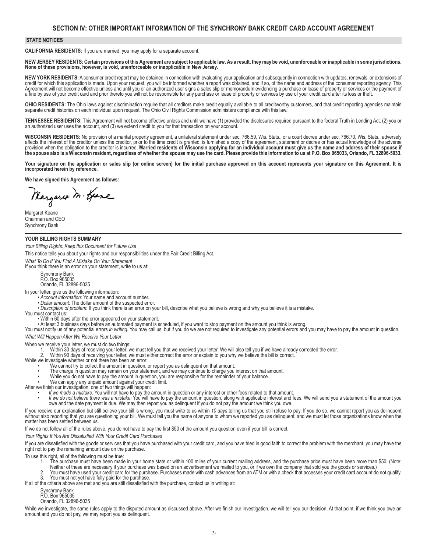## *SECTION IV: OTHER IMPORTANT INFORMATION OF THE SYNCHRONY BANK CREDIT CARD ACCOUNT AGREEMENT*

## *STATE NOTICES*

*CALIFORNIA RESIDENTS:* If you are married, you may apply for a separate account.

*NEW JERSEY RESIDENTS: Certain provisions of this Agreement are subject to applicable law. As a result, they may be void, unenforceable or inapplicable in some jurisdictions. None of these provisions, however, is void, unenforceable or inapplicable in New Jersey.*

NEW YORK RESIDENTS: A consumer credit report may be obtained in connection with evaluating your application and subsequently in connection with updates, renewals, or extensions of<br>credit for which this application is made. Agreement will not become effective unless and until you or an authorized user signs a sales slip or memorandum evidencing a purchase or lease of property or services or the payment of a fine by use of your credit card and prior thereto you will not be responsible for any purchase or lease of property or services by use of your credit card after its loss or theft.

**OHIO RESIDENTS:** The Ohio laws against discrimination require that all creditors make credit equally available to all creditworthy customers, and that credit reporting agencies maintain separate credit histories on each individual upon request. The Ohio Civil Rights Commission administers compliance with this law.

*TENNESSEE RESIDENTS:* This Agreement will not become effective unless and until we have (1) provided the disclosures required pursuant to the federal Truth in Lending Act, (2) you or an authorized user uses the account, and (3) we extend credit to you for that transaction on your account.

*WISCONSIN RESIDENTS:* No provision of a marital property agreement, a unilateral statement under sec. 766.59, Wis. Stats., or a court decree under sec. 766.70, Wis. Stats., adversely affects the interest of the creditor unless the creditor, prior to the time credit is granted, is furnished a copy of the agreement, statement or decree or has actual knowledge of the adverse<br>provision when the obligation

Your signature on the application or sales slip (or online screen) for the initial purchase approved on this account represents your signature on this Agreement. It is *incorporated herein by reference.*

*We have signed this Agreement as follows:* 

Margaret M. Geare

Margaret Keane Chairman and CEO Synchrony Bank

## *YOUR BILLING RIGHTS SUMMARY*

*Your Billing Rights: Keep this Document for Future Use*

This notice tells you about your rights and our responsibilities under the Fair Credit Billing Act.

*What To Do If You Find A Mistake On Your Statement*

If you think there is an error on your statement, write to us at:

Synchrony Bank P.O. Box 965035 Orlando, FL 32896-5035

- 
- 
- In your letter, give us the following information:<br>• Account information: Your name and account number.<br>• Dollar amount: The dollar amount of the suspected error.<br>• Description of problem: If you think there is an error on

• Within 60 days after the error appeared on your statement.

• At least 3 business days before an automated payment is scheduled, if you want to stop payment on the amount you think is wrong.

You must notify us of any potential errors *in writing.* You may call us, but if you do we are not required to investigate any potential errors and you may have to pay the amount in question. *What Will Happen After We Receive Your Letter*

- When we receive your letter, we must do two things:
	- Within 30 days of receiving your letter, we must tell you that we received your letter. We will also tell you if we have already corrected the error.

2. Within 90 days of receiving your letter, we must either correct the error or explain to you why we believe the bill is correct.<br>While we investigate whether or not there has been an error:

- -
- We cannot try to collect the amount in question, or report you as delinquent on that amount.<br>
The charge in question may remain on your statement, and we may continue to charge you interest on that amount.<br>
While you do no
	-
	-
	-
- After we finish our investigation, one of two things will happen:<br>• If we made a mistake: You will not have to pay the amount in question or any interest or other fees related to that amount.<br>• If we do not believe there w

If you receive our explanation but still believe your bill is wrong, you must write to us within 10 days telling us that you still refuse to pay. If you do so, we cannot report you as delinquent<br>without also reporting that matter has been settled between us.

If we do not follow all of the rules above, you do not have to pay the first \$50 of the amount you question even if your bill is correct.

*Your Rights If You Are Dissatisfied With Your Credit Card Purchases*

If you are dissatisfied with the goods or services that you have purchased with your credit card, and you have tried in good faith to correct the problem with the merchant, you may have the right not to pay the remaining amount due on the purchase.

To use this right, all of the following must be true:

- 1. The purchase must have been made in your home state or within 100 miles of your current mailing address, and the purchase price must have been more than \$50. (Note: Neither of these are necessary if your purchase was based on an advertisement we mailed to you, or if we own the company that sold you the goods or services.)
- 2. You must have used your credit card for the purchase. Purchases made with cash advances from an ATM or with a check that accesses your credit card account do not qualify.<br>3. You must not vet have fully paid for the purc You must not yet have fully paid for the purchase.
- If all of the criteria above are met and you are still dissatisfied with the purchase, contact us in writing at:
	- Synchrony Bank P.O. Box 965035

Orlando, FL 32896-5035

While we investigate, the same rules apply to the disputed amount as discussed above. After we finish our investigation, we will tell you our decision. At that point, if we think you owe an amount and you do not pay, we may report you as delinquent.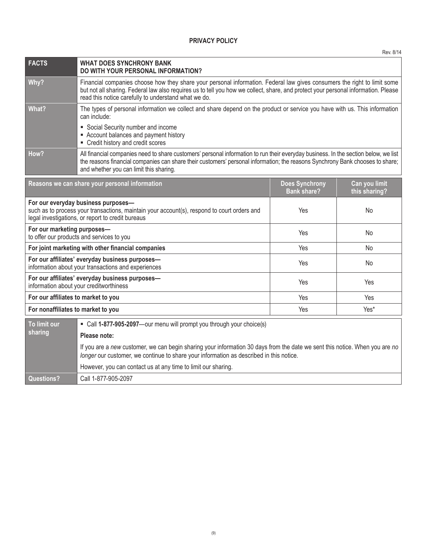|                                                                                                          |                                                                                                                                                                                                                                                                                                                        |  | Rev. 8/14 |  |
|----------------------------------------------------------------------------------------------------------|------------------------------------------------------------------------------------------------------------------------------------------------------------------------------------------------------------------------------------------------------------------------------------------------------------------------|--|-----------|--|
| <b>FACTS</b>                                                                                             | <b>WHAT DOES SYNCHRONY BANK</b><br>DO WITH YOUR PERSONAL INFORMATION?                                                                                                                                                                                                                                                  |  |           |  |
| Why?                                                                                                     | Financial companies choose how they share your personal information. Federal law gives consumers the right to limit some<br>but not all sharing. Federal law also requires us to tell you how we collect, share, and protect your personal information. Please<br>read this notice carefully to understand what we do. |  |           |  |
| What?                                                                                                    | The types of personal information we collect and share depend on the product or service you have with us. This information<br>can include:                                                                                                                                                                             |  |           |  |
|                                                                                                          | • Social Security number and income<br>- Account balances and payment history<br>• Credit history and credit scores                                                                                                                                                                                                    |  |           |  |
| How?                                                                                                     | All financial companies need to share customers' personal information to run their everyday business. In the section below, we list<br>the reasons financial companies can share their customers' personal information; the reasons Synchrony Bank chooses to share;<br>and whether you can limit this sharing.        |  |           |  |
|                                                                                                          | <b>Does Synchrony</b><br>Can you limit<br>Reasons we can share your personal information<br><b>Bank share?</b><br>this sharing?                                                                                                                                                                                        |  |           |  |
|                                                                                                          | For our everyday business purposes-<br>such as to process your transactions, maintain your account(s), respond to court orders and<br>Yes<br>No<br>legal investigations, or report to credit bureaus                                                                                                                   |  |           |  |
|                                                                                                          | For our marketing purposes-<br>Yes<br>No<br>to offer our products and services to you                                                                                                                                                                                                                                  |  |           |  |
|                                                                                                          | For joint marketing with other financial companies<br>Yes<br>No                                                                                                                                                                                                                                                        |  |           |  |
|                                                                                                          | For our affiliates' everyday business purposes-<br>Yes<br>No<br>information about your transactions and experiences                                                                                                                                                                                                    |  |           |  |
| For our affiliates' everyday business purposes-<br>Yes<br>Yes<br>information about your creditworthiness |                                                                                                                                                                                                                                                                                                                        |  |           |  |
|                                                                                                          | For our affiliates to market to you<br>Yes<br>Yes                                                                                                                                                                                                                                                                      |  |           |  |
| For nonaffiliates to market to you<br>Yes*<br>Yes                                                        |                                                                                                                                                                                                                                                                                                                        |  |           |  |
| To limit our<br>• Call 1-877-905-2097-our menu will prompt you through your choice(s)                    |                                                                                                                                                                                                                                                                                                                        |  |           |  |
| sharing                                                                                                  | Please note:                                                                                                                                                                                                                                                                                                           |  |           |  |
|                                                                                                          | If you are a new customer, we can begin sharing your information 30 days from the date we sent this notice. When you are no<br>longer our customer, we continue to share your information as described in this notice.                                                                                                 |  |           |  |
|                                                                                                          | However, you can contact us at any time to limit our sharing.                                                                                                                                                                                                                                                          |  |           |  |
| <b>Questions?</b>                                                                                        | Call 1-877-905-2097                                                                                                                                                                                                                                                                                                    |  |           |  |